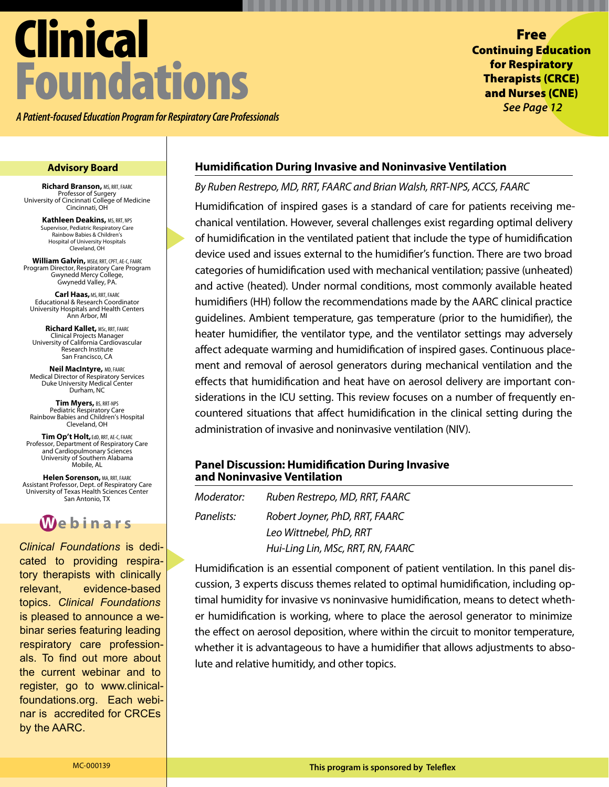# Clinical Foundations

*A Patient-focused Education Program for Respiratory Care Professionals*

Free Continuing Education for Respiratory Therapists (CRCE) and Nurses (CNE) *See Page 12*

**Richard Branson,** MS, RRT, FAARC Professor of Surgery University of Cincinnati College of Medicine Cincinnati, OH

> **Kathleen Deakins,** MS, RRT, NPS Supervisor, Pediatric Respiratory Care Rainbow Babies & Children's Hospital of University Hospitals Cleveland, OH

**William Galvin,** MSEd, RRT, CPFT, AE-C, FAARC Program Director, Respiratory Care Program Gwynedd Mercy College, Gwynedd Valley, PA.

**Carl Haas, MS, RRT, FAARC** Educational & Research Coordinator University Hospitals and Health Centers Ann Arbor, MI

**Richard Kallet,** MSc, RRT, FAARC Clinical Projects Manager University of California Cardiovascular Research Institute San Francisco, CA

**Neil MacIntyre, MD, FAARC<br>Medical Director of Respiratory Services** Duke University Medical Center Durham, NC

**Tim Myers,** BS, RRT-NPS Pediatric Respiratory Care Rainbow Babies and Children's Hospital Cleveland, OH

**Tim Op't Holt,**EdD, RRT, AE-C, FAARC Professor, Department of Respiratory Care and Cardiopulmonary Sciences University of Southern Alabama Mobile, AL

**Helen Sorenson,** MA, RRT, FAARC Assistant Professor, Dept. of Respiratory Care University of Texas Health Sciences Center San Antonio, TX

**W ebinars**

*Clinical Foundations* is dedicated to providing respiratory therapists with clinically relevant, evidence-based topics. *Clinical Foundations* is pleased to announce a webinar series featuring leading respiratory care professionals. To find out more about the current webinar and to register, go to www.clinicalfoundations.org. Each webinar is accredited for CRCEs by the AARC.

### **Advisory Board Humidification During Invasive and Noninvasive Ventilation**

### *By Ruben Restrepo, MD, RRT, FAARC and Brian Walsh, RRT-NPS, ACCS, FAARC*

Humidification of inspired gases is a standard of care for patients receiving mechanical ventilation. However, several challenges exist regarding optimal delivery of humidification in the ventilated patient that include the type of humidification device used and issues external to the humidifier's function. There are two broad categories of humidification used with mechanical ventilation; passive (unheated) and active (heated). Under normal conditions, most commonly available heated humidifiers (HH) follow the recommendations made by the AARC clinical practice guidelines. Ambient temperature, gas temperature (prior to the humidifier), the heater humidifier, the ventilator type, and the ventilator settings may adversely affect adequate warming and humidification of inspired gases. Continuous placement and removal of aerosol generators during mechanical ventilation and the effects that humidification and heat have on aerosol delivery are important considerations in the ICU setting. This review focuses on a number of frequently encountered situations that affect humidification in the clinical setting during the administration of invasive and noninvasive ventilation (NIV).

### **Panel Discussion: Humidification During Invasive and Noninvasive Ventilation**

*Moderator: Ruben Restrepo, MD, RRT, FAARC Panelists: Robert Joyner, PhD, RRT, FAARC Leo Wittnebel, PhD, RRT Hui-Ling Lin, MSc, RRT, RN, FAARC* 

Humidification is an essential component of patient ventilation. In this panel discussion, 3 experts discuss themes related to optimal humidification, including optimal humidity for invasive vs noninvasive humidification, means to detect whether humidification is working, where to place the aerosol generator to minimize the effect on aerosol deposition, where within the circuit to monitor temperature, whether it is advantageous to have a humidifier that allows adjustments to absolute and relative humitidy, and other topics.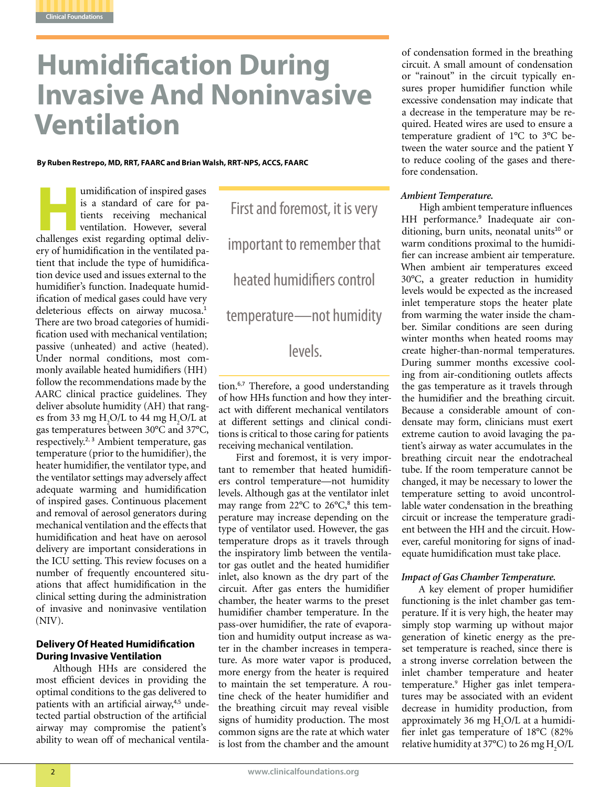

## **Humidification During Invasive And Noninvasive Ventilation**

### **By Ruben Restrepo, MD, RRT, FAARC and Brian Walsh, RRT-NPS, ACCS, FAARC**

**Humidification of inspired gases**<br>
is a standard of care for pa-<br>
tients receiving mechanical<br>
ventilation. However, several<br>
challenges exist regarding optimal delivis a standard of care for patients receiving mechanical ventilation. However, several ery of humidification in the ventilated patient that include the type of humidification device used and issues external to the humidifier's function. Inadequate humidification of medical gases could have very deleterious effects on airway mucosa.<sup>1</sup> There are two broad categories of humidification used with mechanical ventilation; passive (unheated) and active (heated). Under normal conditions, most commonly available heated humidifiers (HH) follow the recommendations made by the AARC clinical practice guidelines. They deliver absolute humidity (AH) that ranges from 33 mg  $H_2O/L$  to 44 mg  $H_2O/L$  at gas temperatures between 30°C and 37°C, respectively.<sup>2, 3</sup> Ambient temperature, gas temperature (prior to the humidifier), the heater humidifier, the ventilator type, and the ventilator settings may adversely affect adequate warming and humidification of inspired gases. Continuous placement and removal of aerosol generators during mechanical ventilation and the effects that humidification and heat have on aerosol delivery are important considerations in the ICU setting. This review focuses on a number of frequently encountered situations that affect humidification in the clinical setting during the administration of invasive and noninvasive ventilation (NIV).

### **Delivery Of Heated Humidification During Invasive Ventilation**

Although HHs are considered the most efficient devices in providing the optimal conditions to the gas delivered to patients with an artificial airway,<sup>4,5</sup> undetected partial obstruction of the artificial airway may compromise the patient's ability to wean off of mechanical ventila-

First and foremost, it is very important to remember that heated humidifiers control temperature—not humidity

### levels.

tion.<sup>6,7</sup> Therefore, a good understanding of how HHs function and how they interact with different mechanical ventilators at different settings and clinical conditions is critical to those caring for patients receiving mechanical ventilation.

First and foremost, it is very important to remember that heated humidifiers control temperature—not humidity levels. Although gas at the ventilator inlet may range from 22°C to 26°C,<sup>8</sup> this temperature may increase depending on the type of ventilator used. However, the gas temperature drops as it travels through the inspiratory limb between the ventilator gas outlet and the heated humidifier inlet, also known as the dry part of the circuit. After gas enters the humidifier chamber, the heater warms to the preset humidifier chamber temperature. In the pass-over humidifier, the rate of evaporation and humidity output increase as water in the chamber increases in temperature. As more water vapor is produced, more energy from the heater is required to maintain the set temperature. A routine check of the heater humidifier and the breathing circuit may reveal visible signs of humidity production. The most common signs are the rate at which water is lost from the chamber and the amount

of condensation formed in the breathing circuit. A small amount of condensation or "rainout" in the circuit typically ensures proper humidifier function while excessive condensation may indicate that a decrease in the temperature may be required. Heated wires are used to ensure a temperature gradient of 1°C to 3°C between the water source and the patient Y to reduce cooling of the gases and therefore condensation.

### *Ambient Temperature.*

High ambient temperature influences HH performance.<sup>9</sup> Inadequate air conditioning, burn units, neonatal units $10$  or warm conditions proximal to the humidifier can increase ambient air temperature. When ambient air temperatures exceed 30°C, a greater reduction in humidity levels would be expected as the increased inlet temperature stops the heater plate from warming the water inside the chamber. Similar conditions are seen during winter months when heated rooms may create higher-than-normal temperatures. During summer months excessive cooling from air-conditioning outlets affects the gas temperature as it travels through the humidifier and the breathing circuit. Because a considerable amount of condensate may form, clinicians must exert extreme caution to avoid lavaging the patient's airway as water accumulates in the breathing circuit near the endotracheal tube. If the room temperature cannot be changed, it may be necessary to lower the temperature setting to avoid uncontrollable water condensation in the breathing circuit or increase the temperature gradient between the HH and the circuit. However, careful monitoring for signs of inadequate humidification must take place.

### *Impact of Gas Chamber Temperature.*

A key element of proper humidifier functioning is the inlet chamber gas temperature. If it is very high, the heater may simply stop warming up without major generation of kinetic energy as the preset temperature is reached, since there is a strong inverse correlation between the inlet chamber temperature and heater temperature.9 Higher gas inlet temperatures may be associated with an evident decrease in humidity production, from approximately 36 mg  $H_2O/L$  at a humidifier inlet gas temperature of 18°C (82% relative humidity at 37°C) to 26 mg  $\text{H}_{2}\text{O/L}$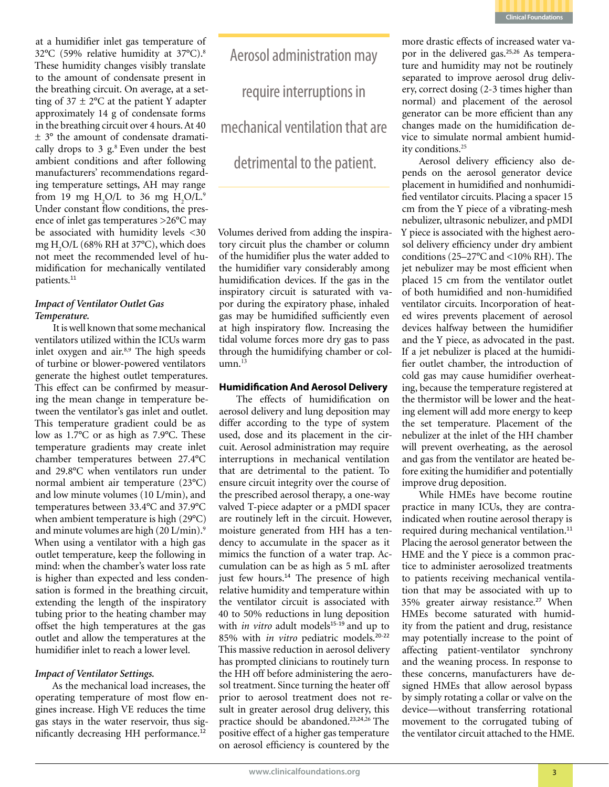

at a humidifier inlet gas temperature of 32°C (59% relative humidity at 37°C).8 These humidity changes visibly translate to the amount of condensate present in the breathing circuit. On average, at a setting of  $37 \pm 2$ °C at the patient Y adapter approximately 14 g of condensate forms in the breathing circuit over 4 hours. At 40 ± 3° the amount of condensate dramatically drops to  $3 \text{ g}$ .<sup>8</sup> Even under the best ambient conditions and after following manufacturers' recommendations regarding temperature settings, AH may range from 19 mg  $H_2O/L$  to 36 mg  $H_2O/L$ .<sup>9</sup> Under constant flow conditions, the presence of inlet gas temperatures >26°C may be associated with humidity levels <30 mg H2 O/L (68% RH at 37°C), which does not meet the recommended level of humidification for mechanically ventilated patients.<sup>11</sup>

### *Impact of Ventilator Outlet Gas Temperature.*

It is well known that some mechanical ventilators utilized within the ICUs warm inlet oxygen and air.<sup>8,9</sup> The high speeds of turbine or blower-powered ventilators generate the highest outlet temperatures. This effect can be confirmed by measuring the mean change in temperature between the ventilator's gas inlet and outlet. This temperature gradient could be as low as 1.7°C or as high as 7.9°C. These temperature gradients may create inlet chamber temperatures between 27.4°C and 29.8°C when ventilators run under normal ambient air temperature (23°C) and low minute volumes (10 L/min), and temperatures between 33.4°C and 37.9°C when ambient temperature is high (29°C) and minute volumes are high (20 L/min).9 When using a ventilator with a high gas outlet temperature, keep the following in mind: when the chamber's water loss rate is higher than expected and less condensation is formed in the breathing circuit, extending the length of the inspiratory tubing prior to the heating chamber may offset the high temperatures at the gas outlet and allow the temperatures at the humidifier inlet to reach a lower level.

### *Impact of Ventilator Settings.*

As the mechanical load increases, the operating temperature of most flow engines increase. High VE reduces the time gas stays in the water reservoir, thus significantly decreasing HH performance.<sup>12</sup>

Aerosol administration may require interruptions in mechanical ventilation that are detrimental to the patient.

Volumes derived from adding the inspiratory circuit plus the chamber or column of the humidifier plus the water added to the humidifier vary considerably among humidification devices. If the gas in the inspiratory circuit is saturated with vapor during the expiratory phase, inhaled gas may be humidified sufficiently even at high inspiratory flow. Increasing the tidal volume forces more dry gas to pass through the humidifying chamber or col $umn<sup>13</sup>$ 

### **Humidification And Aerosol Delivery**

The effects of humidification on aerosol delivery and lung deposition may differ according to the type of system used, dose and its placement in the circuit. Aerosol administration may require interruptions in mechanical ventilation that are detrimental to the patient. To ensure circuit integrity over the course of the prescribed aerosol therapy, a one-way valved T-piece adapter or a pMDI spacer are routinely left in the circuit. However, moisture generated from HH has a tendency to accumulate in the spacer as it mimics the function of a water trap. Accumulation can be as high as 5 mL after just few hours.<sup>14</sup> The presence of high relative humidity and temperature within the ventilator circuit is associated with 40 to 50% reductions in lung deposition with *in vitro* adult models<sup>15-19</sup> and up to 85% with *in vitro* pediatric models.<sup>20</sup>-<sup>22</sup> This massive reduction in aerosol delivery has prompted clinicians to routinely turn the HH off before administering the aerosol treatment. Since turning the heater off prior to aerosol treatment does not result in greater aerosol drug delivery, this practice should be abandoned.<sup>23,24,26</sup> The positive effect of a higher gas temperature on aerosol efficiency is countered by the

more drastic effects of increased water vapor in the delivered gas.<sup>25,26</sup> As temperature and humidity may not be routinely separated to improve aerosol drug delivery, correct dosing (2-3 times higher than normal) and placement of the aerosol generator can be more efficient than any changes made on the humidification device to simulate normal ambient humidity conditions.25

Aerosol delivery efficiency also depends on the aerosol generator device placement in humidified and nonhumidified ventilator circuits. Placing a spacer 15 cm from the Y piece of a vibrating-mesh nebulizer, ultrasonic nebulizer, and pMDI Y piece is associated with the highest aerosol delivery efficiency under dry ambient conditions (25–27°C and <10% RH). The jet nebulizer may be most efficient when placed 15 cm from the ventilator outlet of both humidified and non-humidified ventilator circuits. Incorporation of heated wires prevents placement of aerosol devices halfway between the humidifier and the Y piece, as advocated in the past. If a jet nebulizer is placed at the humidifier outlet chamber, the introduction of cold gas may cause humidifier overheating, because the temperature registered at the thermistor will be lower and the heating element will add more energy to keep the set temperature. Placement of the nebulizer at the inlet of the HH chamber will prevent overheating, as the aerosol and gas from the ventilator are heated before exiting the humidifier and potentially improve drug deposition.

While HMEs have become routine practice in many ICUs, they are contraindicated when routine aerosol therapy is required during mechanical ventilation.<sup>11</sup> Placing the aerosol generator between the HME and the Y piece is a common practice to administer aerosolized treatments to patients receiving mechanical ventilation that may be associated with up to 35% greater airway resistance.<sup>27</sup> When HMEs become saturated with humidity from the patient and drug, resistance may potentially increase to the point of affecting patient-ventilator synchrony and the weaning process. In response to these concerns, manufacturers have designed HMEs that allow aerosol bypass by simply rotating a collar or valve on the device—without transferring rotational movement to the corrugated tubing of the ventilator circuit attached to the HME.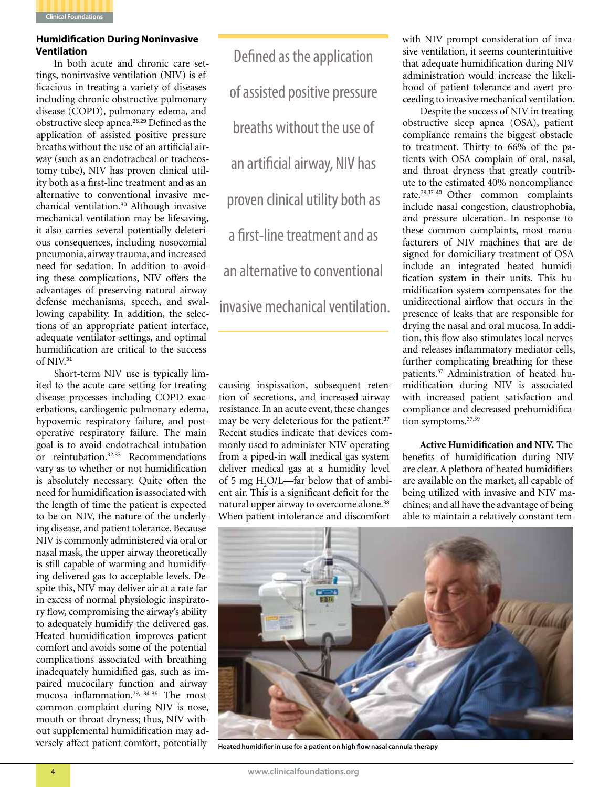

### **Humidification During Noninvasive Ventilation**

In both acute and chronic care settings, noninvasive ventilation (NIV) is efficacious in treating a variety of diseases including chronic obstructive pulmonary disease (COPD), pulmonary edema, and obstructive sleep apnea.<sup>28</sup>,<sup>29</sup> Defined as the application of assisted positive pressure breaths without the use of an artificial airway (such as an endotracheal or tracheostomy tube), NIV has proven clinical utility both as a first-line treatment and as an alternative to conventional invasive mechanical ventilation.<sup>30</sup> Although invasive mechanical ventilation may be lifesaving, it also carries several potentially deleterious consequences, including nosocomial pneumonia, airway trauma, and increased need for sedation. In addition to avoiding these complications, NIV offers the advantages of preserving natural airway defense mechanisms, speech, and swallowing capability. In addition, the selections of an appropriate patient interface, adequate ventilator settings, and optimal humidification are critical to the success of NIV.<sup>31</sup>

Short-term NIV use is typically limited to the acute care setting for treating disease processes including COPD exacerbations, cardiogenic pulmonary edema, hypoxemic respiratory failure, and postoperative respiratory failure. The main goal is to avoid endotracheal intubation or reintubation.<sup>32,33</sup> Recommendations vary as to whether or not humidification is absolutely necessary. Quite often the need for humidification is associated with the length of time the patient is expected to be on NIV, the nature of the underlying disease, and patient tolerance. Because NIV is commonly administered via oral or nasal mask, the upper airway theoretically is still capable of warming and humidifying delivered gas to acceptable levels. Despite this, NIV may deliver air at a rate far in excess of normal physiologic inspiratory flow, compromising the airway's ability to adequately humidify the delivered gas. Heated humidification improves patient comfort and avoids some of the potential complications associated with breathing inadequately humidified gas, such as impaired mucocilary function and airway mucosa inflammation.29, 34-<sup>36</sup> The most common complaint during NIV is nose, mouth or throat dryness; thus, NIV without supplemental humidification may adversely affect patient comfort, potentially

Defined as the application of assisted positive pressure breaths without the use of an artificial airway, NIV has proven clinical utility both as a first-line treatment and as an alternative to conventional invasive mechanical ventilation.

causing inspissation, subsequent retention of secretions, and increased airway resistance. In an acute event, these changes may be very deleterious for the patient.<sup>37</sup> Recent studies indicate that devices commonly used to administer NIV operating from a piped-in wall medical gas system deliver medical gas at a humidity level of 5 mg  $H_2O/L$ —far below that of ambient air. This is a significant deficit for the natural upper airway to overcome alone.<sup>38</sup> When patient intolerance and discomfort

with NIV prompt consideration of invasive ventilation, it seems counterintuitive that adequate humidification during NIV administration would increase the likelihood of patient tolerance and avert proceeding to invasive mechanical ventilation.

Despite the success of NIV in treating obstructive sleep apnea (OSA), patient compliance remains the biggest obstacle to treatment. Thirty to 66% of the patients with OSA complain of oral, nasal, and throat dryness that greatly contribute to the estimated 40% noncompliance rate.29,37-<sup>40</sup> Other common complaints include nasal congestion, claustrophobia, and pressure ulceration. In response to these common complaints, most manufacturers of NIV machines that are designed for domiciliary treatment of OSA include an integrated heated humidification system in their units. This humidification system compensates for the unidirectional airflow that occurs in the presence of leaks that are responsible for drying the nasal and oral mucosa. In addition, this flow also stimulates local nerves and releases inflammatory mediator cells, further complicating breathing for these patients.<sup>37</sup> Administration of heated humidification during NIV is associated with increased patient satisfaction and compliance and decreased prehumidification symptoms.<sup>37,39</sup>

**Active Humidification and NIV.** The benefits of humidification during NIV are clear. A plethora of heated humidifiers are available on the market, all capable of being utilized with invasive and NIV machines; and all have the advantage of being able to maintain a relatively constant tem-



**Heated humidifier in use for a patient on high flow nasal cannula therapy**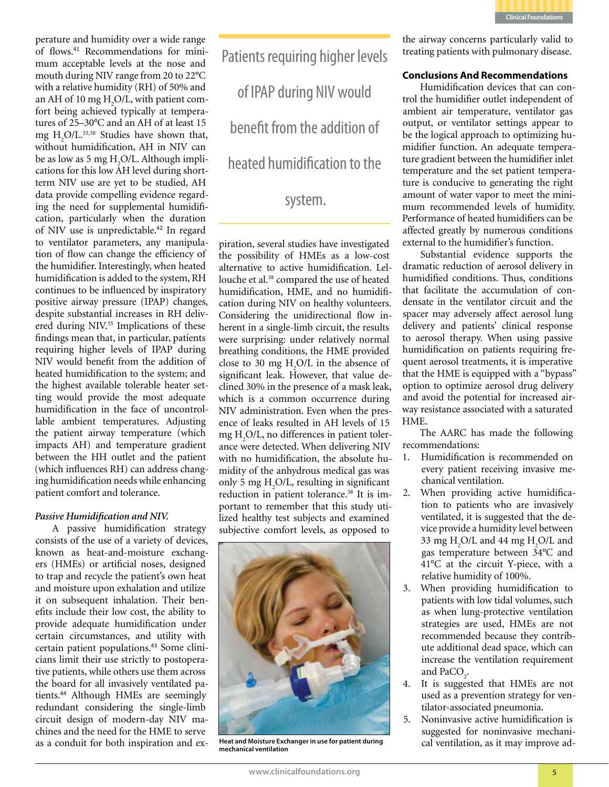

perature and humidity over a wide range of flows.41 Recommendations for minimum acceptable levels at the nose and mouth during NIV range from 20 to 22°C with a relative humidity (RH) of 50% and an AH of 10 mg  $H_2O/L$ , with patient comfort being achieved typically at temperatures of 25–30°C and an AH of at least 15 mg  $H_2O/L$ .<sup>33,38</sup> Studies have shown that, without humidification, AH in NIV can be as low as 5 mg  $H_2O/L$ . Although implications for this low AH level during shortterm NIV use are yet to be studied, AH data provide compelling evidence regarding the need for supplemental humidification, particularly when the duration of NIV use is unpredictable.<sup>42</sup> In regard to ventilator parameters, any manipulation of flow can change the efficiency of the humidifier. Interestingly, when heated humidification is added to the system, RH continues to be influenced by inspiratory positive airway pressure (IPAP) changes, despite substantial increases in RH delivered during NIV.<sup>35</sup> Implications of these findings mean that, in particular, patients requiring higher levels of IPAP during NIV would benefit from the addition of heated humidification to the system; and the highest available tolerable heater setting would provide the most adequate humidification in the face of uncontrollable ambient temperatures. Adjusting the patient airway temperature (which impacts AH) and temperature gradient between the HH outlet and the patient (which influences RH) can address changing humidification needs while enhancing patient comfort and tolerance.

### *Passive Humidification and NIV.*

A passive humidification strategy consists of the use of a variety of devices, known as heat-and-moisture exchangers (HMEs) or artificial noses, designed to trap and recycle the patient's own heat and moisture upon exhalation and utilize it on subsequent inhalation. Their benefits include their low cost, the ability to provide adequate humidification under certain circumstances, and utility with certain patient populations.<sup>43</sup> Some clinicians limit their use strictly to postoperative patients, while others use them across the board for all invasively ventilated patients.<sup>44</sup> Although HMEs are seemingly redundant considering the single-limb circuit design of modern-day NIV machines and the need for the HME to serve as a conduit for both inspiration and exPatients requiring higher levels of IPAP during NIV would benefit from the addition of heated humidification to the system.

piration, several studies have investigated the possibility of HMEs as a low-cost alternative to active humidification. Lellouche et al.<sup>38</sup> compared the use of heated humidification, HME, and no humidification during NIV on healthy volunteers. Considering the unidirectional flow inherent in a single-limb circuit, the results were surprising: under relatively normal breathing conditions, the HME provided close to 30 mg  $H_2O/L$  in the absence of significant leak. However, that value declined 30% in the presence of a mask leak, which is a common occurrence during NIV administration. Even when the presence of leaks resulted in AH levels of 15 mg H2 O/L, no differences in patient tolerance were detected. When delivering NIV with no humidification, the absolute humidity of the anhydrous medical gas was only 5 mg  $H_2O/L$ , resulting in significant reduction in patient tolerance.<sup>38</sup> It is important to remember that this study utilized healthy test subjects and examined subjective comfort levels, as opposed to



**Heat and Moisture Exchanger in use for patient during mechanical ventilation**

the airway concerns particularly valid to treating patients with pulmonary disease.

### **Conclusions And Recommendations**

Humidification devices that can control the humidifier outlet independent of ambient air temperature, ventilator gas output, or ventilator settings appear to be the logical approach to optimizing humidifier function. An adequate temperature gradient between the humidifier inlet temperature and the set patient temperature is conducive to generating the right amount of water vapor to meet the minimum recommended levels of humidity. Performance of heated humidifiers can be affected greatly by numerous conditions external to the humidifier's function.

Substantial evidence supports the dramatic reduction of aerosol delivery in humidified conditions. Thus, conditions that facilitate the accumulation of condensate in the ventilator circuit and the spacer may adversely affect aerosol lung delivery and patients' clinical response to aerosol therapy. When using passive humidification on patients requiring frequent aerosol treatments, it is imperative that the HME is equipped with a "bypass" option to optimize aerosol drug delivery and avoid the potential for increased airway resistance associated with a saturated HME.

The AARC has made the following recommendations:

- 1. Humidification is recommended on every patient receiving invasive mechanical ventilation.
- 2. When providing active humidification to patients who are invasively ventilated, it is suggested that the device provide a humidity level between 33 mg H<sub>2</sub>O/L and 44 mg H<sub>2</sub>O/L and gas temperature between 34°C and 41°C at the circuit Y-piece, with a relative humidity of 100%.
- 3. When providing humidification to patients with low tidal volumes, such as when lung-protective ventilation strategies are used, HMEs are not recommended because they contribute additional dead space, which can increase the ventilation requirement and  $PaCO<sub>2</sub>$ .
- 4. It is suggested that HMEs are not used as a prevention strategy for ventilator-associated pneumonia.
- 5. Noninvasive active humidification is suggested for noninvasive mechanical ventilation, as it may improve ad-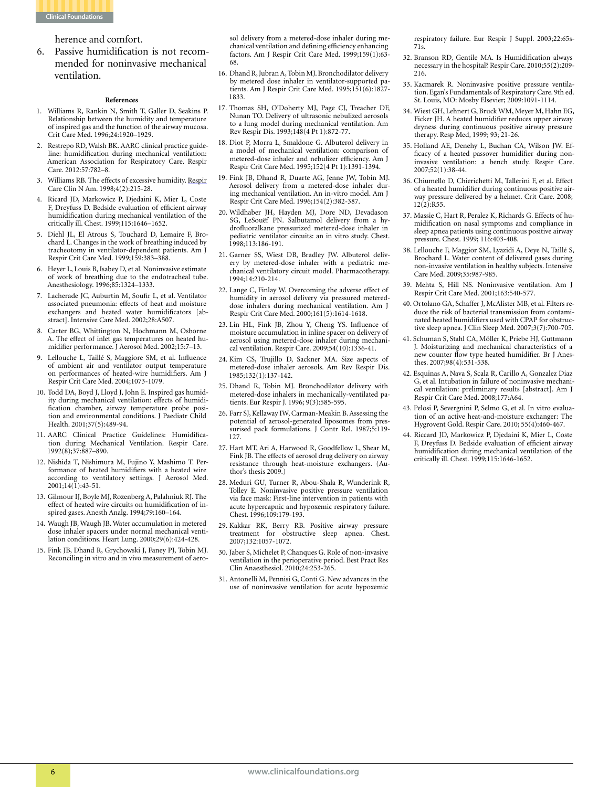

herence and comfort.

6. Passive humidification is not recommended for noninvasive mechanical ventilation.

#### **References**

- 1. Williams R, Rankin N, Smith T, Galler D, Seakins P. Relationship between the humidity and temperature of inspired gas and the function of the airway mucosa. Crit Care Med. 1996;24:1920–1929.
- 2. Restrepo RD, Walsh BK. AARC clinical practice guideline: humidification during mechanical ventilation: American Association for Respiratory Care. Respir Care. 2012:57:782–8.
- 3. Williams RB. The effects of excessive humidity. Respir Care Clin N Am. 1998;4(2):215-28.
- 4. Ricard JD, Markowicz P, Djedaini K, Mier L, Coste F, Dreyfuss D. Bedside evaluation of efficient airway humidification during mechanical ventilation of the critically ill. Chest. 1999;115:1646–1652.
- 5. Diehl JL, El Atrous S, Touchard D, Lemaire F, Brochard L. Changes in the work of breathing induced by tracheotomy in ventilator-dependent patients. Am J Respir Crit Care Med. 1999;159:383–388.
- 6. Heyer L, Louis B, Isabey D, et al. Noninvasive estimate of work of breathing due to the endotracheal tube. Anesthesiology. 1996;85:1324–1333.
- 7. Lacherade JC, Auburtin M, Soufir L, et al. Ventilator associated pneumonia: effects of heat and moisture exchangers and heated water humidificators [abstract]. Intensive Care Med. 2002;28:A507.
- 8. Carter BG, Whittington N, Hochmann M, Osborne A. The effect of inlet gas temperatures on heated humidifier performance. J Aerosol Med. 2002;15:7–13.
- 9. Lellouche L, Taillé S, Maggiore SM, et al. Influence of ambient air and ventilator output temperature on performances of heated-wire humidifiers. Am J Respir Crit Care Med. 2004;1073-1079.
- 10. Todd DA, Boyd J, Lloyd J, John E. Inspired gas humidity during mechanical ventilation: effects of humidification chamber, airway temperature probe position and environmental conditions. J Paediatr Child Health. 2001;37(5):489-94.
- 11. AARC Clinical Practice Guidelines: Humidification during Mechanical Ventilation. Respir Care. 1992(8);37:887–890.
- 12. Nishida T, Nishimura M, Fujino Y, Mashimo T. Performance of heated humidifiers with a heated wire according to ventilatory settings. J Aerosol Med.  $2001;14(\tilde{1})$ :43-51.
- 13. Gilmour IJ, Boyle MJ, Rozenberg A, Palahniuk RJ. The effect of heated wire circuits on humidification of inspired gases. Anesth Analg. 1994;79:160–164.
- 14. Waugh JB, Waugh JB. Water accumulation in metered dose inhaler spacers under normal mechanical ventilation conditions. Heart Lung. 2000;29(6):424-428.
- 15. Fink JB, Dhand R, Grychowski J, Faney PJ, Tobin MJ. Reconciling in vitro and in vivo measurement of aero-

sol delivery from a metered-dose inhaler during mechanical ventilation and defining efficiency enhancing factors. Am J Respir Crit Care Med. 1999;159(1):63- 68.

- 16. Dhand R, Jubran A, Tobin MJ. Bronchodilator delivery by metered dose inhaler in ventilator-supported patients. Am J Respir Crit Care Med. 1995;151(6):1827- 1833.
- 17. Thomas SH, O'Doherty MJ, Page CJ, Treacher DF, Nunan TO. Delivery of ultrasonic nebulized aerosols to a lung model during mechanical ventilation. Am Rev Respir Dis. 1993;148(4 Pt 1):872-77.
- 18. Diot P, Morra L, Smaldone G. Albuterol delivery in a model of mechanical ventilation: comparison of metered-dose inhaler and nebulizer efficiency. Am J Respir Crit Care Med. 1995;152(4 Pt 1):1391-1394.
- 19. Fink JB, Dhand R, Duarte AG, Jenne JW, Tobin MJ. Aerosol delivery from a metered-dose inhaler during mechanical ventilation. An in-vitro model. Am J Respir Crit Care Med. 1996;154(2):382-387.
- 20. Wildhaber JH, Hayden MJ, Dore ND, Devadason SG, LeSouëf PN. Salbutamol delivery from a hydrofluoralkane pressurized metered-dose inhaler in pediatric ventilator circuits: an in vitro study. Chest. 1998;113:186-191.
- 21. Garner SS, Wiest DB, Bradley JW. Albuterol delivery by metered-dose inhaler with a pediatric mechanical ventilatory circuit model. Pharmacotherapy. 1994;14:210-214.
- 22. Lange C, Finlay W. Overcoming the adverse effect of humidity in aerosol delivery via pressured metereddose inhalers during mechanical ventilation. Am J Respir Crit Care Med. 2000;161(5):1614-1618.
- 23. Lin HL, Fink JB, Zhou Y, Cheng YS. Influence of moisture accumulation in inline spacer on delivery of aerosol using metered-dose inhaler during mechanical ventilation. Respir Care. 2009;54(10):1336-41.
- 24. Kim CS, Trujillo D, Sackner MA. Size aspects of metered-dose inhaler aerosols. Am Rev Respir Dis. 1985;132(1):137-142.
- 25. Dhand R, Tobin MJ. Bronchodilator delivery with metered-dose inhalers in mechanically-ventilated patients. Eur Respir J. 1996; 9(3):585-595.
- 26. Farr SJ, Kellaway IW, Carman-Meakin B. Assessing the potential of aerosol-generated liposomes from pressurised pack formulations. J Contr Rel. 1987;5:119- 127.
- 27. Hart MT, Ari A, Harwood R, Goodfellow L, Shear M, Fink JB. The effects of aerosol drug delivery on airway resistance through heat-moisture exchangers. (Author's thesis 2009.)
- 28. Meduri GU, Turner R, Abou-Shala R, Wunderink R, Tolley E. Noninvasive positive pressure ventilation via face mask: First-line intervention in patients with acute hypercapnic and hypoxemic respiratory failure. Chest. 1996;109:179-193.
- 29. Kakkar RK, Berry RB. Positive airway pressure treatment for obstructive sleep apnea. Chest. 2007;132:1057-1072.
- 30. Jaber S, Michelet P, Chanques G. Role of non-invasive ventilation in the perioperative period. Best Pract Res Clin Anaesthesiol. 2010;24:253-265.
- 31. Antonelli M, Pennisi G, Conti G. New advances in the use of noninvasive ventilation for acute hypoxemic

respiratory failure. Eur Respir J Suppl. 2003;22:65s-71s.

- 32. Branson RD, Gentile MA. Is Humidification always necessary in the hospital? Respir Care. 2010;55(2):209- 216.
- 33. Kacmarek R. Noninvasive positive pressure ventilation. Egan's Fundamentals of Respiratory Care. 9th ed. St. Louis, MO: Mosby Elsevier; 2009:1091-1114.
- 34. Wiest GH, Lehnert G, Bruck WM, Meyer M, Hahn EG, Ficker JH. A heated humidifier reduces upper airway dryness during continuous positive airway pressure therapy. Resp Med, 1999; 93; 21-26.
- 35. Holland AE, Denehy L, Buchan CA, Wilson JW. Efficacy of a heated passover humidifier during noninvasive ventilation: a bench study. Respir Care. 2007;52(1):38-44.
- 36. Chiumello D, Chierichetti M, Tallerini F, et al. Effect of a heated humidifier during continuous positive airway pressure delivered by a helmet. Crit Care. 2008; 12(2):R55.
- 37. Massie C, Hart R, Peralez K, Richards G. Effects of humidification on nasal symptoms and compliance in sleep apnea patients using continuous positive airway pressure. Chest. 1999; 116:403-408.
- 38. Lellouche F, Maggior SM, Lyazidi A, Deye N, Taillé S, Brochard L. Water content of delivered gases during non-invasive ventilation in healthy subjects. Intensive Care Med. 2009;35:987-985.
- 39. Mehta S, Hill NS. Noninvasive ventilation. Am J Respir Crit Care Med. 2001;163:540-577.
- 40. Ortolano GA, Schaffer J, McAlister MB, et al. Filters reduce the risk of bacterial transmission from contaminated heated humidifiers used with CPAP for obstructive sleep apnea. J Clin Sleep Med. 2007;3(7):700-705.
- 41. Schuman S, Stahl CA, Möller K, Priebe HJ, Guttmann J. Moisturizing and mechanical characteristics of a new counter flow type heated humidifier. Br J Anesthes. 2007;98(4):531-538.
- 42. Esquinas A, Nava S, Scala R, Carillo A, Gonzalez Diaz G, et al. Intubation in failure of noninvasive mechanical ventilation: preliminary results [abstract]. Am J Respir Crit Care Med. 2008;177:A64.
- 43. Pelosi P, Severgnini P, Selmo G, et al. In vitro evaluation of an active heat-and-moisture exchanger: The Hygrovent Gold. Respir Care. 2010; 55(4):460-467.
- 44. Riccard JD, Markowicz P, Djedaini K, Mier L, Coste F, Dreyfuss D. Bedside evaluation of efficient airway humidification during mechanical ventilation of the critically ill. Chest. 1999;115:1646-1652.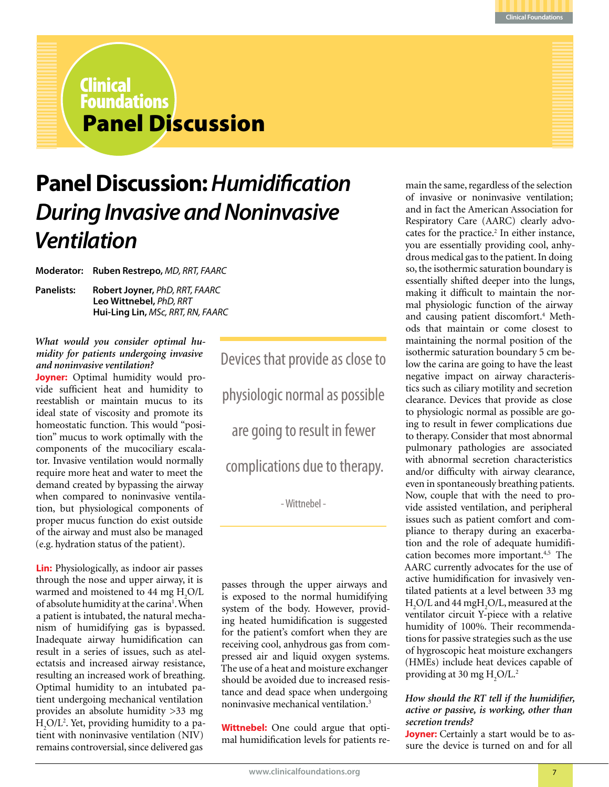

### Panel Discussion Clinical Foundations

### **Panel Discussion:** *Humidification During Invasive and Noninvasive Ventilation*

**Moderator: Ruben Restrepo,** *MD, RRT, FAARC*

**Panelists: Robert Joyner,** *PhD, RRT, FAARC* **Leo Wittnebel,** *PhD, RRT* **Hui-Ling Lin,** *MSc, RRT, RN, FAARC* 

### *What would you consider optimal humidity for patients undergoing invasive and noninvasive ventilation?*

**Joyner:** Optimal humidity would provide sufficient heat and humidity to reestablish or maintain mucus to its ideal state of viscosity and promote its homeostatic function. This would "position" mucus to work optimally with the components of the mucociliary escalator. Invasive ventilation would normally require more heat and water to meet the demand created by bypassing the airway when compared to noninvasive ventilation, but physiological components of proper mucus function do exist outside of the airway and must also be managed (e.g. hydration status of the patient).

**Lin:** Physiologically, as indoor air passes through the nose and upper airway, it is warmed and moistened to 44 mg  $H_2O/L$ of absolute humidity at the carina<sup>1</sup>. When a patient is intubated, the natural mechanism of humidifying gas is bypassed. Inadequate airway humidification can result in a series of issues, such as atelectatsis and increased airway resistance, resulting an increased work of breathing. Optimal humidity to an intubated patient undergoing mechanical ventilation provides an absolute humidity >33 mg H2 O/L2 . Yet, providing humidity to a patient with noninvasive ventilation (NIV) remains controversial, since delivered gas

Devices that provide as close to physiologic normal as possible are going to result in fewer complications due to therapy.

- Wittnebel -

passes through the upper airways and is exposed to the normal humidifying system of the body. However, providing heated humidification is suggested for the patient's comfort when they are receiving cool, anhydrous gas from compressed air and liquid oxygen systems. The use of a heat and moisture exchanger should be avoided due to increased resistance and dead space when undergoing noninvasive mechanical ventilation.3

**Wittnebel:** One could argue that optimal humidification levels for patients re-

main the same, regardless of the selection of invasive or noninvasive ventilation; and in fact the American Association for Respiratory Care (AARC) clearly advocates for the practice.<sup>2</sup> In either instance, you are essentially providing cool, anhydrous medical gas to the patient. In doing so, the isothermic saturation boundary is essentially shifted deeper into the lungs, making it difficult to maintain the normal physiologic function of the airway and causing patient discomfort.<sup>4</sup> Methods that maintain or come closest to maintaining the normal position of the isothermic saturation boundary 5 cm below the carina are going to have the least negative impact on airway characteristics such as ciliary motility and secretion clearance. Devices that provide as close to physiologic normal as possible are going to result in fewer complications due to therapy. Consider that most abnormal pulmonary pathologies are associated with abnormal secretion characteristics and/or difficulty with airway clearance, even in spontaneously breathing patients. Now, couple that with the need to provide assisted ventilation, and peripheral issues such as patient comfort and compliance to therapy during an exacerbation and the role of adequate humidification becomes more important.4,5 The AARC currently advocates for the use of active humidification for invasively ventilated patients at a level between 33 mg  $H_2O/L$  and 44 mg $H_2O/L$ , measured at the ventilator circuit Y-piece with a relative humidity of 100%. Their recommendations for passive strategies such as the use of hygroscopic heat moisture exchangers (HMEs) include heat devices capable of providing at 30 mg  $H_2O/L^2$ 

### *How should the RT tell if the humidifier, active or passive, is working, other than secretion trends?*

**Joyner:** Certainly a start would be to assure the device is turned on and for all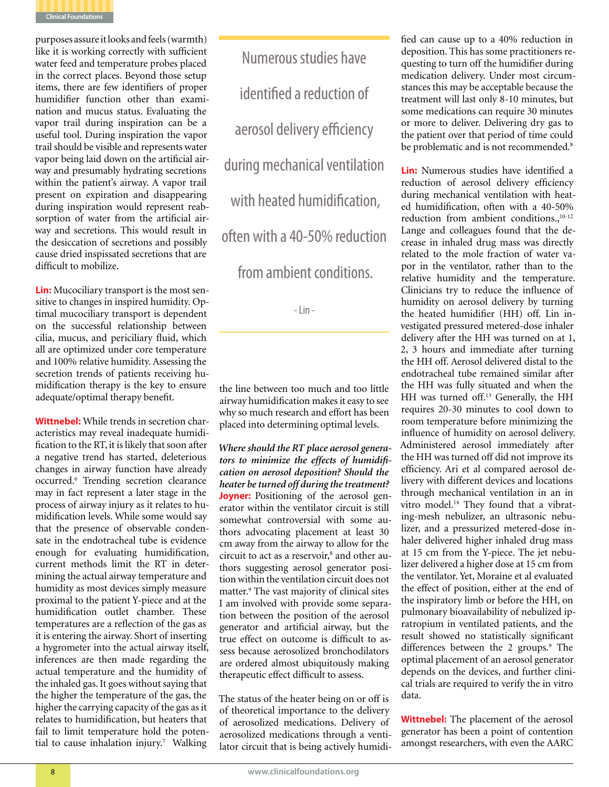

purposes assure it looks and feels (warmth) like it is working correctly with sufficient water feed and temperature probes placed in the correct places. Beyond those setup items, there are few identifiers of proper humidifier function other than examination and mucus status. Evaluating the vapor trail during inspiration can be a useful tool. During inspiration the vapor trail should be visible and represents water vapor being laid down on the artificial airway and presumably hydrating secretions within the patient's airway. A vapor trail present on expiration and disappearing during inspiration would represent reabsorption of water from the artificial airway and secretions. This would result in the desiccation of secretions and possibly cause dried inspissated secretions that are difficult to mobilize.

**Lin:** Mucociliary transport is the most sensitive to changes in inspired humidity. Optimal mucociliary transport is dependent on the successful relationship between cilia, mucus, and periciliary fluid, which all are optimized under core temperature and 100% relative humidity. Assessing the secretion trends of patients receiving humidification therapy is the key to ensure adequate/optimal therapy benefit.

**Wittnebel:** While trends in secretion characteristics may reveal inadequate humidification to the RT, it is likely that soon after a negative trend has started, deleterious changes in airway function have already occurred.6 Trending secretion clearance may in fact represent a later stage in the process of airway injury as it relates to humidification levels. While some would say that the presence of observable condensate in the endotracheal tube is evidence enough for evaluating humidification, current methods limit the RT in determining the actual airway temperature and humidity as most devices simply measure proximal to the patient Y-piece and at the humidification outlet chamber. These temperatures are a reflection of the gas as it is entering the airway. Short of inserting a hygrometer into the actual airway itself, inferences are then made regarding the actual temperature and the humidity of the inhaled gas. It goes without saying that the higher the temperature of the gas, the higher the carrying capacity of the gas as it relates to humidification, but heaters that fail to limit temperature hold the potential to cause inhalation injury.<sup>7</sup> Walking

Numerous studies have identified a reduction of aerosol delivery efficiency during mechanical ventilation with heated humidification. often with a 40-50% reduction from ambient conditions.

- Lin -

the line between too much and too little airway humidification makes it easy to see why so much research and effort has been placed into determining optimal levels.

*Where should the RT place aerosol generators to minimize the effects of humidification on aerosol deposition? Should the heater be turned off during the treatment?* **Joyner:** Positioning of the aerosol generator within the ventilator circuit is still somewhat controversial with some authors advocating placement at least 30 cm away from the airway to allow for the circuit to act as a reservoir,<sup>8</sup> and other authors suggesting aerosol generator position within the ventilation circuit does not matter.9 The vast majority of clinical sites I am involved with provide some separation between the position of the aerosol generator and artificial airway, but the true effect on outcome is difficult to assess because aerosolized bronchodilators are ordered almost ubiquitously making therapeutic effect difficult to assess.

The status of the heater being on or off is of theoretical importance to the delivery of aerosolized medications. Delivery of aerosolized medications through a ventilator circuit that is being actively humidified can cause up to a 40% reduction in deposition. This has some practitioners requesting to turn off the humidifier during medication delivery. Under most circumstances this may be acceptable because the treatment will last only 8-10 minutes, but some medications can require 30 minutes or more to deliver. Delivering dry gas to the patient over that period of time could be problematic and is not recommended.<sup>8</sup>

**Lin:** Numerous studies have identified a reduction of aerosol delivery efficiency during mechanical ventilation with heated humidification, often with a 40-50% reduction from ambient conditions.,<sup>10-12</sup> Lange and colleagues found that the decrease in inhaled drug mass was directly related to the mole fraction of water vapor in the ventilator, rather than to the relative humidity and the temperature. Clinicians try to reduce the influence of humidity on aerosol delivery by turning the heated humidifier (HH) off. Lin investigated pressured metered-dose inhaler delivery after the HH was turned on at 1, 2, 3 hours and immediate after turning the HH off. Aerosol delivered distal to the endotracheal tube remained similar after the HH was fully situated and when the HH was turned off.13 Generally, the HH requires 20-30 minutes to cool down to room temperature before minimizing the influence of humidity on aerosol delivery. Administered aerosol immediately after the HH was turned off did not improve its efficiency. Ari et al compared aerosol delivery with different devices and locations through mechanical ventilation in an in vitro model.<sup>14</sup> They found that a vibrating-mesh nebulizer, an ultrasonic nebulizer, and a pressurized metered-dose inhaler delivered higher inhaled drug mass at 15 cm from the Y-piece. The jet nebulizer delivered a higher dose at 15 cm from the ventilator. Yet, Moraine et al evaluated the effect of position, either at the end of the inspiratory limb or before the HH, on pulmonary bioavailability of nebulized ipratropium in ventilated patients, and the result showed no statistically significant differences between the 2 groups.<sup>9</sup> The optimal placement of an aerosol generator depends on the devices, and further clinical trials are required to verify the in vitro data.

**Wittnebel:** The placement of the aerosol generator has been a point of contention amongst researchers, with even the AARC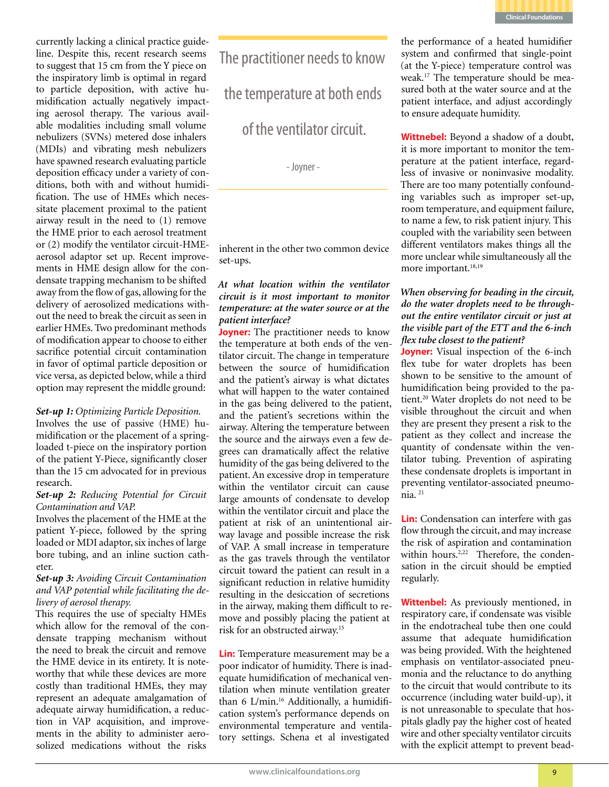

currently lacking a clinical practice guideline. Despite this, recent research seems to suggest that 15 cm from the Y piece on the inspiratory limb is optimal in regard to particle deposition, with active humidification actually negatively impacting aerosol therapy. The various available modalities including small volume nebulizers (SVNs) metered dose inhalers (MDIs) and vibrating mesh nebulizers have spawned research evaluating particle deposition efficacy under a variety of conditions, both with and without humidification. The use of HMEs which necessitate placement proximal to the patient airway result in the need to (1) remove the HME prior to each aerosol treatment or (2) modify the ventilator circuit-HMEaerosol adaptor set up. Recent improvements in HME design allow for the condensate trapping mechanism to be shifted away from the flow of gas, allowing for the delivery of aerosolized medications without the need to break the circuit as seen in earlier HMEs. Two predominant methods of modification appear to choose to either sacrifice potential circuit contamination in favor of optimal particle deposition or vice versa, as depicted below, while a third option may represent the middle ground:

### *Set-up 1: Optimizing Particle Deposition.*

Involves the use of passive (HME) humidification or the placement of a springloaded t-piece on the inspiratory portion of the patient Y-Piece, significantly closer than the 15 cm advocated for in previous research.

### *Set-up 2: Reducing Potential for Circuit Contamination and VAP.*

Involves the placement of the HME at the patient Y-piece, followed by the spring loaded or MDI adaptor, six inches of large bore tubing, and an inline suction catheter.

### *Set-up 3: Avoiding Circuit Contamination and VAP potential while facilitating the delivery of aerosol therapy.*

This requires the use of specialty HMEs which allow for the removal of the condensate trapping mechanism without the need to break the circuit and remove the HME device in its entirety. It is noteworthy that while these devices are more costly than traditional HMEs, they may represent an adequate amalgamation of adequate airway humidification, a reduction in VAP acquisition, and improvements in the ability to administer aerosolized medications without the risks

The practitioner needs to know

the temperature at both ends

of the ventilator circuit.

- Joyner -

inherent in the other two common device set-ups.

### *At what location within the ventilator circuit is it most important to monitor temperature: at the water source or at the patient interface?*

**Joyner:** The practitioner needs to know the temperature at both ends of the ventilator circuit. The change in temperature between the source of humidification and the patient's airway is what dictates what will happen to the water contained in the gas being delivered to the patient, and the patient's secretions within the airway. Altering the temperature between the source and the airways even a few degrees can dramatically affect the relative humidity of the gas being delivered to the patient. An excessive drop in temperature within the ventilator circuit can cause large amounts of condensate to develop within the ventilator circuit and place the patient at risk of an unintentional airway lavage and possible increase the risk of VAP. A small increase in temperature as the gas travels through the ventilator circuit toward the patient can result in a significant reduction in relative humidity resulting in the desiccation of secretions in the airway, making them difficult to remove and possibly placing the patient at risk for an obstructed airway.15

**Lin:** Temperature measurement may be a poor indicator of humidity. There is inadequate humidification of mechanical ventilation when minute ventilation greater than 6 L/min.<sup>16</sup> Additionally, a humidification system's performance depends on environmental temperature and ventilatory settings. Schena et al investigated

the performance of a heated humidifier system and confirmed that single-point (at the Y-piece) temperature control was weak.17 The temperature should be measured both at the water source and at the patient interface, and adjust accordingly to ensure adequate humidity.

**Wittnebel:** Beyond a shadow of a doubt, it is more important to monitor the temperature at the patient interface, regardless of invasive or noninvasive modality. There are too many potentially confounding variables such as improper set-up, room temperature, and equipment failure, to name a few, to risk patient injury. This coupled with the variability seen between different ventilators makes things all the more unclear while simultaneously all the more important.<sup>18,19</sup>

### *When observing for beading in the circuit, do the water droplets need to be throughout the entire ventilator circuit or just at the visible part of the ETT and the 6-inch flex tube closest to the patient?*

**Joyner:** Visual inspection of the 6-inch flex tube for water droplets has been shown to be sensitive to the amount of humidification being provided to the patient.20 Water droplets do not need to be visible throughout the circuit and when they are present they present a risk to the patient as they collect and increase the quantity of condensate within the ventilator tubing. Prevention of aspirating these condensate droplets is important in preventing ventilator-associated pneumonia. 21

**Lin:** Condensation can interfere with gas flow through the circuit, and may increase the risk of aspiration and contamination within hours.<sup>2,22</sup> Therefore, the condensation in the circuit should be emptied regularly.

**Wittenbel:** As previously mentioned, in respiratory care, if condensate was visible in the endotracheal tube then one could assume that adequate humidification was being provided. With the heightened emphasis on ventilator-associated pneumonia and the reluctance to do anything to the circuit that would contribute to its occurrence (including water build-up), it is not unreasonable to speculate that hospitals gladly pay the higher cost of heated wire and other specialty ventilator circuits with the explicit attempt to prevent bead-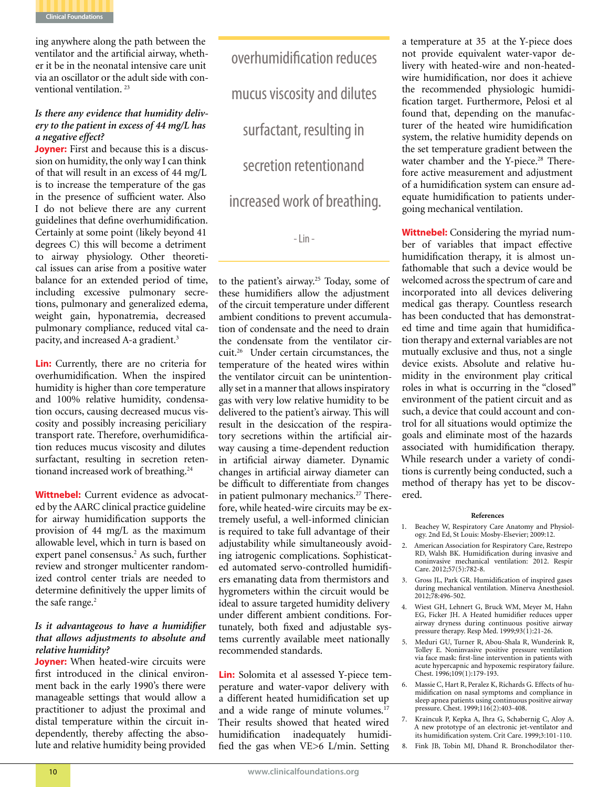

ing anywhere along the path between the ventilator and the artificial airway, whether it be in the neonatal intensive care unit via an oscillator or the adult side with conventional ventilation. 23

### *Is there any evidence that humidity delivery to the patient in excess of 44 mg/L has a negative effect?*

**Joyner:** First and because this is a discussion on humidity, the only way I can think of that will result in an excess of 44 mg/L is to increase the temperature of the gas in the presence of sufficient water. Also I do not believe there are any current guidelines that define overhumidification. Certainly at some point (likely beyond 41 degrees C) this will become a detriment to airway physiology. Other theoretical issues can arise from a positive water balance for an extended period of time, including excessive pulmonary secretions, pulmonary and generalized edema, weight gain, hyponatremia, decreased pulmonary compliance, reduced vital capacity, and increased A-a gradient.3

**Lin:** Currently, there are no criteria for overhumidification. When the inspired humidity is higher than core temperature and 100% relative humidity, condensation occurs, causing decreased mucus viscosity and possibly increasing periciliary transport rate. Therefore, overhumidification reduces mucus viscosity and dilutes surfactant, resulting in secretion retentionand increased work of breathing.<sup>24</sup>

**Wittnebel:** Current evidence as advocated by the AARC clinical practice guideline for airway humidification supports the provision of 44 mg/L as the maximum allowable level, which in turn is based on expert panel consensus.<sup>2</sup> As such, further review and stronger multicenter randomized control center trials are needed to determine definitively the upper limits of the safe range.<sup>2</sup>

### *Is it advantageous to have a humidifier that allows adjustments to absolute and relative humidity?*

**Joyner:** When heated-wire circuits were first introduced in the clinical environment back in the early 1990's there were manageable settings that would allow a practitioner to adjust the proximal and distal temperature within the circuit independently, thereby affecting the absolute and relative humidity being provided

overhumidification reduces mucus viscosity and dilutes surfactant, resulting in secretion retentionand increased work of breathing.

- Lin -

to the patient's airway.<sup>25</sup> Today, some of these humidifiers allow the adjustment of the circuit temperature under different ambient conditions to prevent accumulation of condensate and the need to drain the condensate from the ventilator circuit.26 Under certain circumstances, the temperature of the heated wires within the ventilator circuit can be unintentionally set in a manner that allows inspiratory gas with very low relative humidity to be delivered to the patient's airway. This will result in the desiccation of the respiratory secretions within the artificial airway causing a time-dependent reduction in artificial airway diameter. Dynamic changes in artificial airway diameter can be difficult to differentiate from changes in patient pulmonary mechanics.<sup>27</sup> Therefore, while heated-wire circuits may be extremely useful, a well-informed clinician is required to take full advantage of their adjustability while simultaneously avoiding iatrogenic complications. Sophisticated automated servo-controlled humidifiers emanating data from thermistors and hygrometers within the circuit would be ideal to assure targeted humidity delivery under different ambient conditions. Fortunately, both fixed and adjustable systems currently available meet nationally recommended standards.

**Lin:** Solomita et al assessed Y-piece temperature and water-vapor delivery with a different heated humidification set up and a wide range of minute volumes.<sup>17</sup> Their results showed that heated wired humidification inadequately humidified the gas when VE>6 L/min. Setting

a temperature at 35 at the Y-piece does not provide equivalent water-vapor delivery with heated-wire and non-heatedwire humidification, nor does it achieve the recommended physiologic humidification target. Furthermore, Pelosi et al found that, depending on the manufacturer of the heated wire humidification system, the relative humidity depends on the set temperature gradient between the water chamber and the Y-piece.<sup>28</sup> Therefore active measurement and adjustment of a humidification system can ensure adequate humidification to patients undergoing mechanical ventilation.

**Wittnebel:** Considering the myriad number of variables that impact effective humidification therapy, it is almost unfathomable that such a device would be welcomed across the spectrum of care and incorporated into all devices delivering medical gas therapy. Countless research has been conducted that has demonstrated time and time again that humidification therapy and external variables are not mutually exclusive and thus, not a single device exists. Absolute and relative humidity in the environment play critical roles in what is occurring in the "closed" environment of the patient circuit and as such, a device that could account and control for all situations would optimize the goals and eliminate most of the hazards associated with humidification therapy. While research under a variety of conditions is currently being conducted, such a method of therapy has yet to be discovered.

### **References**

- 1. Beachey W, Respiratory Care Anatomy and Physiology. 2nd Ed, St Louis: Mosby-Elsevier; 2009:12.
- 2. American Association for Respiratory Care, Restrepo RD, Walsh BK. Humidification during invasive and noninvasive mechanical ventilation: 2012. Respir Care. 2012;57(5):782-8.
- 3. Gross JL, Park GR. Humidification of inspired gases during mechanical ventilation. Minerva Anesthesiol. 2012;78:496-502.
- 4. Wiest GH, Lehnert G, Bruck WM, Meyer M, Hahn EG, Ficker JH. A Heated humidifier reduces upper airway dryness during continuous positive airway pressure therapy. Resp Med. 1999;93(1):21-26.
- 5. Meduri GU, Turner R, Abou-Shala R, Wunderink R, Tolley E. Noninvasive positive pressure ventilation via face mask: first-line intervention in patients with acute hypercapnic and hypoxemic respiratory failure. Chest. 1996;109(1):179-193.
- 6. Massie C, Hart R, Peralez K, Richards G. Effects of humidification on nasal symptoms and compliance in sleep apnea patients using continuous positive airway pressure. Chest. 1999;116(2):403-408.
- 7. Kraincuk P, Kepka A, Ihra G, Schabernig C, Aloy A. A new prototype of an electronic jet-ventilator and its humidification system. Crit Care. 1999;3:101-110.
- 8. Fink JB, Tobin MJ, Dhand R. Bronchodilator ther-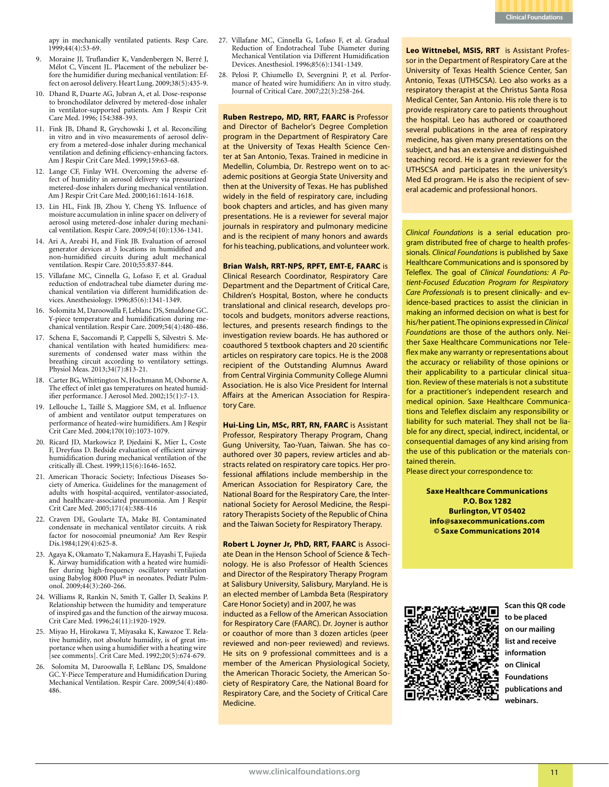

1999;44(4):53-69.

- 9. Moraine JJ, Truflandier K, Vandenbergen N, Berré J, Mélot C, Vincent JL. Placement of the nebulizer before the humidifier during mechanical ventilation: Effect on aerosol delivery. Heart Lung. 2009;38(5):435-9.
- 10. Dhand R, Duarte AG, Jubran A, et al. Dose-response to bronchodilator delivered by metered-dose inhaler in ventilator-supported patients. Am J Respir Crit Care Med. 1996; 154:388-393.
- 11. Fink JB, Dhand R, Grychowski J, et al. Reconciling in vitro and in vivo measurements of aerosol delivery from a metered-dose inhaler during mechanical ventilation and defining efficiency-enhancing factors. Am J Respir Crit Care Med. 1999;159:63-68.
- 12. Lange CF, Finlay WH. Overcoming the adverse effect of humidity in aerosol delivery via pressurized metered-dose inhalers during mechanical ventilation. Am J Respir Crit Care Med. 2000;161:1614-1618.
- 13. Lin HL, Fink JB, Zhou Y, Cheng YS. Influence of moisture accumulation in inline spacer on delivery of aerosol using metered-dose inhaler during mechanical ventilation. Respir Care. 2009;54(10):1336-1341.
- 14. Ari A, Areabi H, and Fink JB. Evaluation of aerosol generator devices at 3 locations in humidified and non-humidified circuits during adult mechanical ventilation. Respir Care. 2010;55:837-844.
- 15. Villafane MC, Cinnella G, Lofaso F, et al. Gradual reduction of endotracheal tube diameter during mechanical ventilation via different humidification devices. Anesthesiology. 1996;85(6):1341-1349.
- 16. Solomita M, Daroowalla F, Leblanc DS, Smaldone GC. Y-piece temperature and humidification during mechanical ventilation. Respir Care. 2009;54(4):480-486.
- 17. Schena E, Saccomandi P, Cappelli S, Silvestri S. Mechanical ventilation with heated humidifiers: measurements of condensed water mass within the breathing circuit according to ventilatory settings. Physiol Meas. 2013;34(7):813-21.
- 18. Carter BG, Whittington N, Hochmann M, Osborne A. The effect of inlet gas temperatures on heated humidifier performance. J Aerosol Med. 2002;15(1):7-13.
- 19. Lellouche L, Taillé S, Maggiore SM, et al. Influence of ambient and ventilator output temperatures on performance of heated-wire humidifiers. Am J Respir Crit Care Med. 2004;170(10):1073-1079.
- 20. Ricard JD, Markowicz P, Djedaini K, Mier L, Coste F, Dreyfuss D. Bedside evaluation of efficient airway humidification during mechanical ventilation of the critically ill. Chest. 1999;115(6):1646-1652.
- 21. American Thoracic Society; Infectious Diseases Society of America. Guidelines for the management of adults with hospital-acquired, ventilator-associated, and healthcare-associated pneumonia. Am J Respir Crit Care Med. 2005;171(4):388-416
- 22. Craven DE, Goularte TA, Make BJ. Contaminated condensate in mechanical ventilator circuits. A risk factor for nosocomial pneumonia? Am Rev Respir Dis.1984;129(4):625-8.
- 23. Agaya K, Okamato T, Nakamura E, Hayashi T, Fujieda K. Airway humidification with a heated wire humidifier during high-frequency oscillatory ventilation using Babylog 8000 Plus® in neonates. Pediatr Pulmonol. 2009;44(3):260-266.
- 24. Williams R, Rankin N, Smith T, Galler D, Seakins P. Relationship between the humidity and temperature of inspired gas and the function of the airway mucosa. Crit Care Med. 1996;24(11):1920-1929.
- 25. Miyao H, Hirokawa T, Miyasaka K, Kawazoe T. Relative humidity, not absolute humidity, is of great importance when using a humidifier with a heating wire [see comments]. Crit Care Med. 1992;20(5):674-679.
- 26. Solomita M, Daroowalla F, LeBlanc DS, Smaldone GC. Y-Piece Temperature and Humidification During Mechanical Ventilation. Respir Care. 2009;54(4):480- 486.
- apy in mechanically ventilated patients. Resp Care. 27. Villafane MC, Cinnella G, Lofaso F, et al. Gradual Reduction of Endotracheal Tube Diameter during Mechanical Ventilation via Different Humidification Devices. Anesthesiol. 1996;85(6):1341-1349.
	- 28. Pelosi P, Chiumello D, Severgnini P, et al. Performance of heated wire humidifiers: An in vitro study. Journal of Critical Care. 2007;22(3):258-264.

**Ruben Restrepo, MD, RRT, FAARC is** Professor and Director of Bachelor's Degree Completion program in the Department of Respiratory Care at the University of Texas Health Science Center at San Antonio, Texas. Trained in medicine in Medellin, Columbia, Dr. Restrepo went on to academic positions at Georgia State University and then at the University of Texas. He has published widely in the field of respiratory care, including book chapters and articles, and has given many presentations. He is a reviewer for several major journals in respiratory and pulmonary medicine and is the recipient of many honors and awards for his teaching, publications, and volunteer work.

### **Brian Walsh, RRT-NPS, RPFT, EMT-E, FAARC** is

Clinical Research Coordinator, Respiratory Care Department and the Department of Critical Care, Children's Hospital, Boston, where he conducts translational and clinical research, develops protocols and budgets, monitors adverse reactions, lectures, and presents research findings to the investigation review boards. He has authored or coauthored 5 textbook chapters and 20 scientific articles on respiratory care topics. He is the 2008 recipient of the Outstanding Alumnus Award from Central Virginia Community College Alumni Association. He is also Vice President for Internal Affairs at the American Association for Respiratory Care.

**Hui-Ling Lin, MSc, RRT, RN, FAARC** is Assistant Professor, Respiratory Therapy Program, Chang Gung University, Tao-Yuan, Taiwan. She has coauthored over 30 papers, review articles and abstracts related on respiratory care topics. Her professional affilations include membership in the American Association for Respiratory Care, the National Board for the Respiratory Care, the International Society for Aerosol Medicine, the Respiratory Therapists Society of the Republic of China and the Taiwan Society for Respiratory Therapy.

**Robert L Joyner Jr, PhD, RRT, FAARC** is Associate Dean in the Henson School of Science & Technology. He is also Professor of Health Sciences and Director of the Respiratory Therapy Program at Salisbury University, Salisbury, Maryland. He is an elected member of Lambda Beta (Respiratory Care Honor Society) and in 2007, he was

inducted as a Fellow of the American Association for Respiratory Care (FAARC). Dr. Joyner is author or coauthor of more than 3 dozen articles (peer reviewed and non-peer reviewed) and reviews. He sits on 9 professional committees and is a member of the American Physiological Society, the American Thoracic Society, the American Society of Respiratory Care, the National Board for Respiratory Care, and the Society of Critical Care Medicine.

**Leo Wittnebel, MSIS, RRT** is Assistant Professor in the Department of Respiratory Care at the University of Texas Health Science Center, San Antonio, Texas (UTHSCSA). Leo also works as a respiratory therapist at the Christus Santa Rosa Medical Center, San Antonio. His role there is to provide respiratory care to patients throughout the hospital. Leo has authored or coauthored several publications in the area of respiratory medicine, has given many presentations on the subject, and has an extensive and distinguished teaching record. He is a grant reviewer for the UTHSCSA and participates in the university's Med Ed program. He is also the recipient of several academic and professional honors.

*Clinical Foundations* is a serial education program distributed free of charge to health professionals. *Clinical Foundations* is published by Saxe Healthcare Communications and is sponsored by Teleflex. The goal of *Clinical Foundations: A Patient-Focused Education Program for Respiratory Care Professionals* is to present clinically- and evidence-based practices to assist the clinician in making an informed decision on what is best for his/her patient. The opinions expressed in *Clinical Foundations* are those of the authors only. Neither Saxe Healthcare Communications nor Teleflex make any warranty or representations about the accuracy or reliability of those opinions or their applicability to a particular clinical situation. Review of these materials is not a substitute for a practitioner's independent research and medical opinion. Saxe Healthcare Communications and Teleflex disclaim any responsibility or liability for such material. They shall not be liable for any direct, special, indirect, incidental, or consequential damages of any kind arising from the use of this publication or the materials contained therein.

Please direct your correspondence to:

**Saxe Healthcare Communications P.O. Box 1282 Burlington, VT 05402 info@saxecommunications.com © Saxe Communications 2014**



**Scan this QR code to be placed on our mailing list and receive information on Clinical Foundations publications and webinars.**